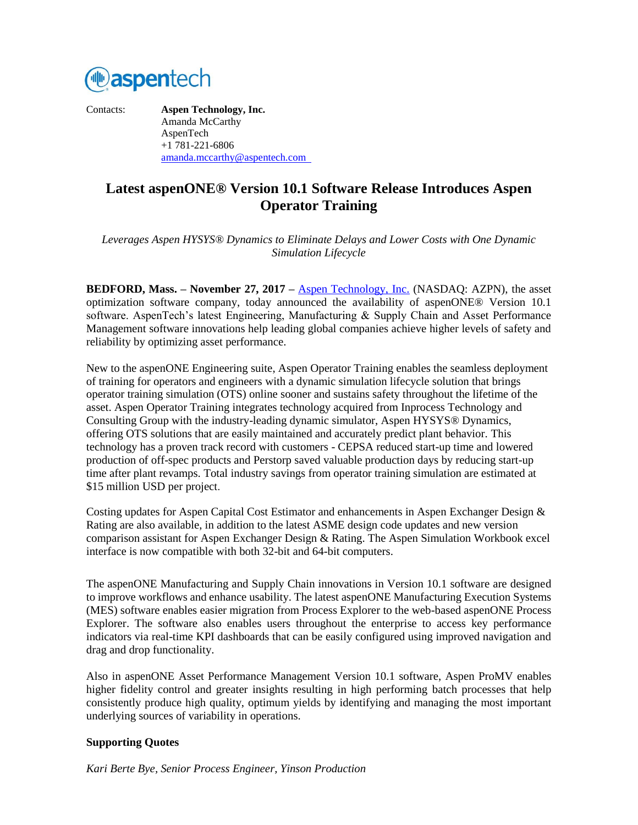

Contacts: **Aspen Technology, Inc.** Amanda McCarthy AspenTech +1 781-221-6806 [amanda.mccarthy@aspentech.com](mailto:amanda.mccarthy@aspentech.com) 

# **Latest aspenONE® Version 10.1 Software Release Introduces Aspen Operator Training**

*Leverages Aspen HYSYS® Dynamics to Eliminate Delays and Lower Costs with One Dynamic Simulation Lifecycle*

**BEDFORD, Mass. – November 27, 2017 –** [Aspen Technology, Inc.](http://www.aspentech.com/) (NASDAQ: AZPN), the asset optimization software company, today announced the availability of aspenONE® Version 10.1 software. AspenTech's latest Engineering, Manufacturing & Supply Chain and Asset Performance Management software innovations help leading global companies achieve higher levels of safety and reliability by optimizing asset performance.

New to the aspenONE Engineering suite, Aspen Operator Training enables the seamless deployment of training for operators and engineers with a dynamic simulation lifecycle solution that brings operator training simulation (OTS) online sooner and sustains safety throughout the lifetime of the asset. Aspen Operator Training integrates technology acquired from Inprocess Technology and Consulting Group with the industry-leading dynamic simulator, Aspen HYSYS® Dynamics, offering OTS solutions that are easily maintained and accurately predict plant behavior. This technology has a proven track record with customers - CEPSA reduced start-up time and lowered production of off-spec products and Perstorp saved valuable production days by reducing start-up time after plant revamps. Total industry savings from operator training simulation are estimated at \$15 million USD per project.

Costing updates for Aspen Capital Cost Estimator and enhancements in Aspen Exchanger Design & Rating are also available, in addition to the latest ASME design code updates and new version comparison assistant for Aspen Exchanger Design & Rating. The Aspen Simulation Workbook excel interface is now compatible with both 32-bit and 64-bit computers.

The aspenONE Manufacturing and Supply Chain innovations in Version 10.1 software are designed to improve workflows and enhance usability. The latest aspenONE Manufacturing Execution Systems (MES) software enables easier migration from Process Explorer to the web-based aspenONE Process Explorer. The software also enables users throughout the enterprise to access key performance indicators via real-time KPI dashboards that can be easily configured using improved navigation and drag and drop functionality.

Also in aspenONE Asset Performance Management Version 10.1 software, Aspen ProMV enables higher fidelity control and greater insights resulting in high performing batch processes that help consistently produce high quality, optimum yields by identifying and managing the most important underlying sources of variability in operations.

## **Supporting Quotes**

*Kari Berte Bye, Senior Process Engineer, Yinson Production*